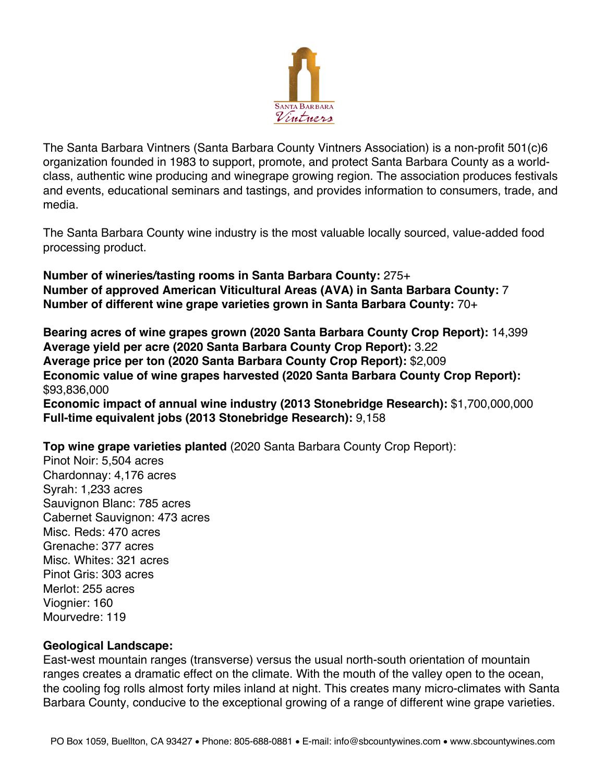

The Santa Barbara Vintners (Santa Barbara County Vintners Association) is a non-profit 501(c)6 organization founded in 1983 to support, promote, and protect Santa Barbara County as a worldclass, authentic wine producing and winegrape growing region. The association produces festivals and events, educational seminars and tastings, and provides information to consumers, trade, and media.

The Santa Barbara County wine industry is the most valuable locally sourced, value-added food processing product.

**Number of wineries/tasting rooms in Santa Barbara County:** 275+ **Number of approved American Viticultural Areas (AVA) in Santa Barbara County:** 7 **Number of different wine grape varieties grown in Santa Barbara County:** 70+

**Bearing acres of wine grapes grown (2020 Santa Barbara County Crop Report):** 14,399 **Average yield per acre (2020 Santa Barbara County Crop Report):** 3.22 **Average price per ton (2020 Santa Barbara County Crop Report):** \$2,009 **Economic value of wine grapes harvested (2020 Santa Barbara County Crop Report):** \$93,836,000 **Economic impact of annual wine industry (2013 Stonebridge Research):** \$1,700,000,000 **Full-time equivalent jobs (2013 Stonebridge Research):** 9,158

**Top wine grape varieties planted** (2020 Santa Barbara County Crop Report):

Pinot Noir: 5,504 acres Chardonnay: 4,176 acres Syrah: 1,233 acres Sauvignon Blanc: 785 acres Cabernet Sauvignon: 473 acres Misc. Reds: 470 acres Grenache: 377 acres Misc. Whites: 321 acres Pinot Gris: 303 acres Merlot: 255 acres Viognier: 160 Mourvedre: 119

## **Geological Landscape:**

East-west mountain ranges (transverse) versus the usual north-south orientation of mountain ranges creates a dramatic effect on the climate. With the mouth of the valley open to the ocean, the cooling fog rolls almost forty miles inland at night. This creates many micro-climates with Santa Barbara County, conducive to the exceptional growing of a range of different wine grape varieties.